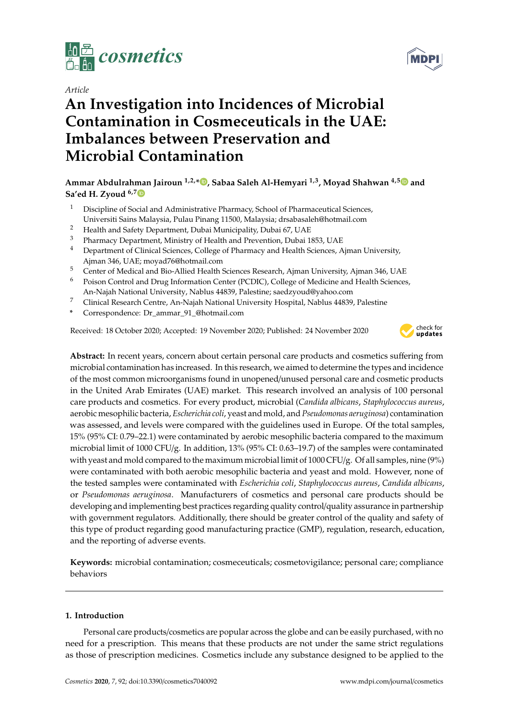

*Article*

# **An Investigation into Incidences of Microbial Contamination in Cosmeceuticals in the UAE: Imbalances between Preservation and Microbial Contamination**

## **Ammar Abdulrahman Jairoun 1,2,\* , Sabaa Saleh Al-Hemyari 1,3, Moyad Shahwan 4,5 and Sa'ed H. Zyoud 6,7**

- <sup>1</sup> Discipline of Social and Administrative Pharmacy, School of Pharmaceutical Sciences, Universiti Sains Malaysia, Pulau Pinang 11500, Malaysia; drsabasaleh@hotmail.com
- <sup>2</sup> Health and Safety Department, Dubai Municipality, Dubai 67, UAE
- <sup>3</sup> Pharmacy Department, Ministry of Health and Prevention, Dubai 1853, UAE<br><sup>4</sup> Department of Clinical Sciences, College of Pharmacy and Health Sciences, A
- <sup>4</sup> Department of Clinical Sciences, College of Pharmacy and Health Sciences, Ajman University, Ajman 346, UAE; moyad76@hotmail.com
- <sup>5</sup> Center of Medical and Bio-Allied Health Sciences Research, Ajman University, Ajman 346, UAE
- <sup>6</sup> Poison Control and Drug Information Center (PCDIC), College of Medicine and Health Sciences, An-Najah National University, Nablus 44839, Palestine; saedzyoud@yahoo.com
- <sup>7</sup> Clinical Research Centre, An-Najah National University Hospital, Nablus 44839, Palestine
- **\*** Correspondence: Dr\_ammar\_91\_@hotmail.com

Received: 18 October 2020; Accepted: 19 November 2020; Published: 24 November 2020



**Abstract:** In recent years, concern about certain personal care products and cosmetics suffering from microbial contamination has increased. In this research, we aimed to determine the types and incidence of the most common microorganisms found in unopened/unused personal care and cosmetic products in the United Arab Emirates (UAE) market. This research involved an analysis of 100 personal care products and cosmetics. For every product, microbial (*Candida albicans*, *Staphylococcus aureus*, aerobic mesophilic bacteria, *Escherichia coli*, yeast and mold, and *Pseudomonas aeruginosa*) contamination was assessed, and levels were compared with the guidelines used in Europe. Of the total samples, 15% (95% CI: 0.79–22.1) were contaminated by aerobic mesophilic bacteria compared to the maximum microbial limit of 1000 CFU/g. In addition, 13% (95% CI: 0.63–19.7) of the samples were contaminated with yeast and mold compared to the maximum microbial limit of 1000 CFU/g. Of all samples, nine (9%) were contaminated with both aerobic mesophilic bacteria and yeast and mold. However, none of the tested samples were contaminated with *Escherichia coli*, *Staphylococcus aureus*, *Candida albicans*, or *Pseudomonas aeruginosa*. Manufacturers of cosmetics and personal care products should be developing and implementing best practices regarding quality control/quality assurance in partnership with government regulators. Additionally, there should be greater control of the quality and safety of this type of product regarding good manufacturing practice (GMP), regulation, research, education, and the reporting of adverse events.

**Keywords:** microbial contamination; cosmeceuticals; cosmetovigilance; personal care; compliance behaviors

## **1. Introduction**

Personal care products/cosmetics are popular across the globe and can be easily purchased, with no need for a prescription. This means that these products are not under the same strict regulations as those of prescription medicines. Cosmetics include any substance designed to be applied to the

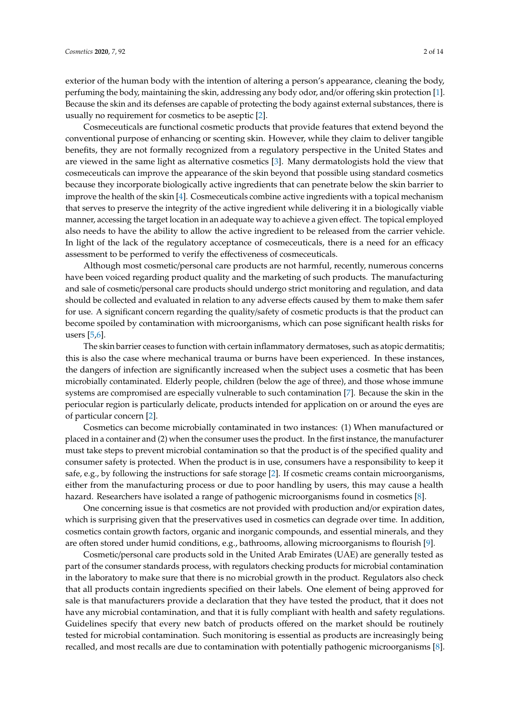exterior of the human body with the intention of altering a person's appearance, cleaning the body, perfuming the body, maintaining the skin, addressing any body odor, and/or offering skin protection [1]. Because the skin and its defenses are capable of protecting the body against external substances, there is usually no requirement for cosmetics to be aseptic [2].

Cosmeceuticals are functional cosmetic products that provide features that extend beyond the conventional purpose of enhancing or scenting skin. However, while they claim to deliver tangible benefits, they are not formally recognized from a regulatory perspective in the United States and are viewed in the same light as alternative cosmetics [3]. Many dermatologists hold the view that cosmeceuticals can improve the appearance of the skin beyond that possible using standard cosmetics because they incorporate biologically active ingredients that can penetrate below the skin barrier to improve the health of the skin [4]. Cosmeceuticals combine active ingredients with a topical mechanism that serves to preserve the integrity of the active ingredient while delivering it in a biologically viable manner, accessing the target location in an adequate way to achieve a given effect. The topical employed also needs to have the ability to allow the active ingredient to be released from the carrier vehicle. In light of the lack of the regulatory acceptance of cosmeceuticals, there is a need for an efficacy assessment to be performed to verify the effectiveness of cosmeceuticals.

Although most cosmetic/personal care products are not harmful, recently, numerous concerns have been voiced regarding product quality and the marketing of such products. The manufacturing and sale of cosmetic/personal care products should undergo strict monitoring and regulation, and data should be collected and evaluated in relation to any adverse effects caused by them to make them safer for use. A significant concern regarding the quality/safety of cosmetic products is that the product can become spoiled by contamination with microorganisms, which can pose significant health risks for users [5,6].

The skin barrier ceases to function with certain inflammatory dermatoses, such as atopic dermatitis; this is also the case where mechanical trauma or burns have been experienced. In these instances, the dangers of infection are significantly increased when the subject uses a cosmetic that has been microbially contaminated. Elderly people, children (below the age of three), and those whose immune systems are compromised are especially vulnerable to such contamination [7]. Because the skin in the periocular region is particularly delicate, products intended for application on or around the eyes are of particular concern [2].

Cosmetics can become microbially contaminated in two instances: (1) When manufactured or placed in a container and (2) when the consumer uses the product. In the first instance, the manufacturer must take steps to prevent microbial contamination so that the product is of the specified quality and consumer safety is protected. When the product is in use, consumers have a responsibility to keep it safe, e.g., by following the instructions for safe storage [2]. If cosmetic creams contain microorganisms, either from the manufacturing process or due to poor handling by users, this may cause a health hazard. Researchers have isolated a range of pathogenic microorganisms found in cosmetics [8].

One concerning issue is that cosmetics are not provided with production and/or expiration dates, which is surprising given that the preservatives used in cosmetics can degrade over time. In addition, cosmetics contain growth factors, organic and inorganic compounds, and essential minerals, and they are often stored under humid conditions, e.g., bathrooms, allowing microorganisms to flourish [9].

Cosmetic/personal care products sold in the United Arab Emirates (UAE) are generally tested as part of the consumer standards process, with regulators checking products for microbial contamination in the laboratory to make sure that there is no microbial growth in the product. Regulators also check that all products contain ingredients specified on their labels. One element of being approved for sale is that manufacturers provide a declaration that they have tested the product, that it does not have any microbial contamination, and that it is fully compliant with health and safety regulations. Guidelines specify that every new batch of products offered on the market should be routinely tested for microbial contamination. Such monitoring is essential as products are increasingly being recalled, and most recalls are due to contamination with potentially pathogenic microorganisms [8].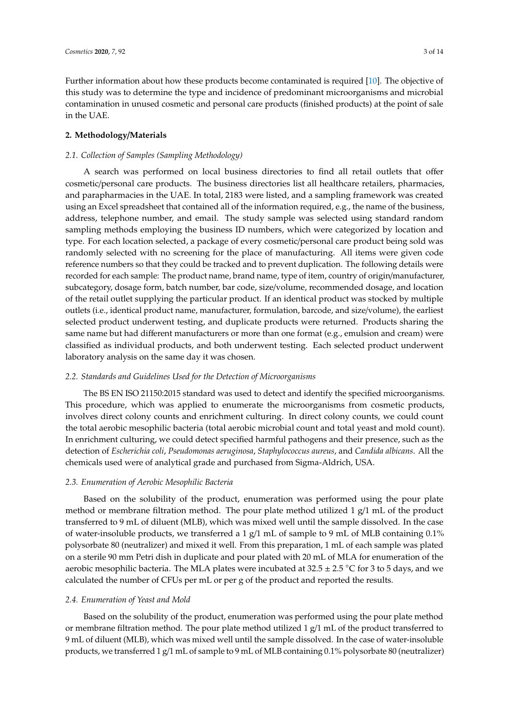Further information about how these products become contaminated is required [10]. The objective of this study was to determine the type and incidence of predominant microorganisms and microbial contamination in unused cosmetic and personal care products (finished products) at the point of sale in the UAE.

#### **2. Methodology**/**Materials**

#### *2.1. Collection of Samples (Sampling Methodology)*

A search was performed on local business directories to find all retail outlets that offer cosmetic/personal care products. The business directories list all healthcare retailers, pharmacies, and parapharmacies in the UAE. In total, 2183 were listed, and a sampling framework was created using an Excel spreadsheet that contained all of the information required, e.g., the name of the business, address, telephone number, and email. The study sample was selected using standard random sampling methods employing the business ID numbers, which were categorized by location and type. For each location selected, a package of every cosmetic/personal care product being sold was randomly selected with no screening for the place of manufacturing. All items were given code reference numbers so that they could be tracked and to prevent duplication. The following details were recorded for each sample: The product name, brand name, type of item, country of origin/manufacturer, subcategory, dosage form, batch number, bar code, size/volume, recommended dosage, and location of the retail outlet supplying the particular product. If an identical product was stocked by multiple outlets (i.e., identical product name, manufacturer, formulation, barcode, and size/volume), the earliest selected product underwent testing, and duplicate products were returned. Products sharing the same name but had different manufacturers or more than one format (e.g., emulsion and cream) were classified as individual products, and both underwent testing. Each selected product underwent laboratory analysis on the same day it was chosen.

#### *2.2. Standards and Guidelines Used for the Detection of Microorganisms*

The BS EN ISO 21150:2015 standard was used to detect and identify the specified microorganisms. This procedure, which was applied to enumerate the microorganisms from cosmetic products, involves direct colony counts and enrichment culturing. In direct colony counts, we could count the total aerobic mesophilic bacteria (total aerobic microbial count and total yeast and mold count). In enrichment culturing, we could detect specified harmful pathogens and their presence, such as the detection of *Escherichia coli*, *Pseudomonas aeruginosa*, *Staphylococcus aureus*, and *Candida albicans*. All the chemicals used were of analytical grade and purchased from Sigma-Aldrich, USA.

## *2.3. Enumeration of Aerobic Mesophilic Bacteria*

Based on the solubility of the product, enumeration was performed using the pour plate method or membrane filtration method. The pour plate method utilized 1  $g/1$  mL of the product transferred to 9 mL of diluent (MLB), which was mixed well until the sample dissolved. In the case of water-insoluble products, we transferred a 1  $g/1$  mL of sample to 9 mL of MLB containing 0.1% polysorbate 80 (neutralizer) and mixed it well. From this preparation, 1 mL of each sample was plated on a sterile 90 mm Petri dish in duplicate and pour plated with 20 mL of MLA for enumeration of the aerobic mesophilic bacteria. The MLA plates were incubated at  $32.5 \pm 2.5$  °C for 3 to 5 days, and we calculated the number of CFUs per mL or per g of the product and reported the results.

#### *2.4. Enumeration of Yeast and Mold*

Based on the solubility of the product, enumeration was performed using the pour plate method or membrane filtration method. The pour plate method utilized 1  $g/1$  mL of the product transferred to 9 mL of diluent (MLB), which was mixed well until the sample dissolved. In the case of water-insoluble products, we transferred 1 g/1 mL of sample to 9 mL of MLB containing 0.1% polysorbate 80 (neutralizer)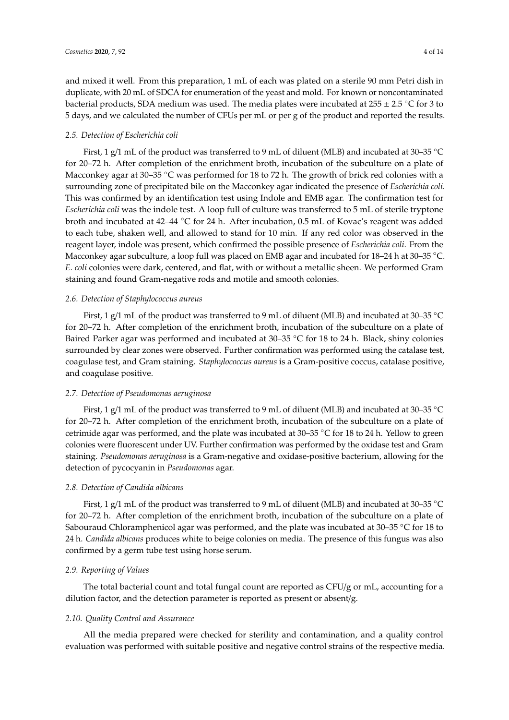and mixed it well. From this preparation, 1 mL of each was plated on a sterile 90 mm Petri dish in duplicate, with 20 mL of SDCA for enumeration of the yeast and mold. For known or noncontaminated bacterial products, SDA medium was used. The media plates were incubated at 255  $\pm$  2.5 °C for 3 to 5 days, and we calculated the number of CFUs per mL or per g of the product and reported the results.

#### *2.5. Detection of Escherichia coli*

First, 1 g/1 mL of the product was transferred to 9 mL of diluent (MLB) and incubated at 30–35 ◦<sup>C</sup> for 20–72 h. After completion of the enrichment broth, incubation of the subculture on a plate of Macconkey agar at 30–35 °C was performed for 18 to 72 h. The growth of brick red colonies with a surrounding zone of precipitated bile on the Macconkey agar indicated the presence of *Escherichia coli*. This was confirmed by an identification test using Indole and EMB agar. The confirmation test for *Escherichia coli* was the indole test. A loop full of culture was transferred to 5 mL of sterile tryptone broth and incubated at 42–44 ◦C for 24 h. After incubation, 0.5 mL of Kovac's reagent was added to each tube, shaken well, and allowed to stand for 10 min. If any red color was observed in the reagent layer, indole was present, which confirmed the possible presence of *Escherichia coli*. From the Macconkey agar subculture, a loop full was placed on EMB agar and incubated for 18–24 h at 30–35 °C. *E. coli* colonies were dark, centered, and flat, with or without a metallic sheen. We performed Gram staining and found Gram-negative rods and motile and smooth colonies.

#### *2.6. Detection of Staphylococcus aureus*

First, 1 g/1 mL of the product was transferred to 9 mL of diluent (MLB) and incubated at 30–35 ◦<sup>C</sup> for 20–72 h. After completion of the enrichment broth, incubation of the subculture on a plate of Baired Parker agar was performed and incubated at 30–35 ◦C for 18 to 24 h. Black, shiny colonies surrounded by clear zones were observed. Further confirmation was performed using the catalase test, coagulase test, and Gram staining. *Staphylococcus aureus* is a Gram-positive coccus, catalase positive, and coagulase positive.

#### *2.7. Detection of Pseudomonas aeruginosa*

First, 1 g/1 mL of the product was transferred to 9 mL of diluent (MLB) and incubated at 30–35 °C for 20–72 h. After completion of the enrichment broth, incubation of the subculture on a plate of cetrimide agar was performed, and the plate was incubated at 30–35 ◦C for 18 to 24 h. Yellow to green colonies were fluorescent under UV. Further confirmation was performed by the oxidase test and Gram staining. *Pseudomonas aeruginosa* is a Gram-negative and oxidase-positive bacterium, allowing for the detection of pycocyanin in *Pseudomonas* agar.

#### *2.8. Detection of Candida albicans*

First, 1 g/1 mL of the product was transferred to 9 mL of diluent (MLB) and incubated at 30–35 ◦<sup>C</sup> for 20–72 h. After completion of the enrichment broth, incubation of the subculture on a plate of Sabouraud Chloramphenicol agar was performed, and the plate was incubated at 30–35 ◦C for 18 to 24 h. *Candida albicans* produces white to beige colonies on media. The presence of this fungus was also confirmed by a germ tube test using horse serum.

#### *2.9. Reporting of Values*

The total bacterial count and total fungal count are reported as CFU/g or mL, accounting for a dilution factor, and the detection parameter is reported as present or absent/g.

#### *2.10. Quality Control and Assurance*

All the media prepared were checked for sterility and contamination, and a quality control evaluation was performed with suitable positive and negative control strains of the respective media.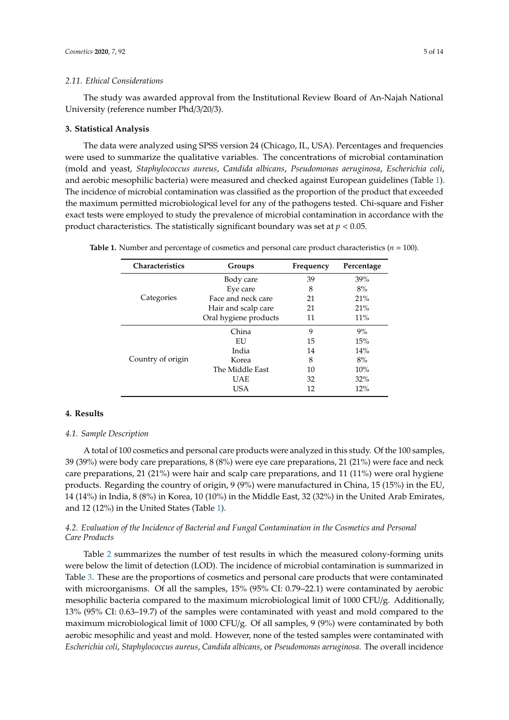#### *2.11. Ethical Considerations*

The study was awarded approval from the Institutional Review Board of An-Najah National University (reference number Phd/3/20/3).

#### **3. Statistical Analysis**

The data were analyzed using SPSS version 24 (Chicago, IL, USA). Percentages and frequencies were used to summarize the qualitative variables. The concentrations of microbial contamination (mold and yeast, *Staphylococcus aureus*, *Candida albicans*, *Pseudomonas aeruginosa*, *Escherichia coli*, and aerobic mesophilic bacteria) were measured and checked against European guidelines (Table 1). The incidence of microbial contamination was classified as the proportion of the product that exceeded the maximum permitted microbiological level for any of the pathogens tested. Chi-square and Fisher exact tests were employed to study the prevalence of microbial contamination in accordance with the product characteristics. The statistically significant boundary was set at *p* < 0.05.

| <b>Characteristics</b> | Groups                | Frequency | Percentage |
|------------------------|-----------------------|-----------|------------|
|                        | Body care             | 39        | 39%        |
|                        | Eye care              | 8         | 8%         |
| Categories             | Face and neck care    | 21        | 21%        |
|                        | Hair and scalp care   | 21        | 21%        |
|                        | Oral hygiene products | 11        | 11%        |
|                        | China                 | 9         | 9%         |
|                        | EU                    | 15        | 15%        |
|                        | India                 | 14        | 14%        |
| Country of origin      | Korea                 | 8         | 8%         |
|                        | The Middle East       | 10        | 10%        |
|                        | <b>UAE</b>            | 32        | 32%        |
|                        | <b>USA</b>            | 12        | 12%        |

**Table 1.** Number and percentage of cosmetics and personal care product characteristics (*n* = 100).

#### **4. Results**

## *4.1. Sample Description*

A total of 100 cosmetics and personal care products were analyzed in this study. Of the 100 samples, 39 (39%) were body care preparations, 8 (8%) were eye care preparations, 21 (21%) were face and neck care preparations, 21 (21%) were hair and scalp care preparations, and 11 (11%) were oral hygiene products. Regarding the country of origin, 9 (9%) were manufactured in China, 15 (15%) in the EU, 14 (14%) in India, 8 (8%) in Korea, 10 (10%) in the Middle East, 32 (32%) in the United Arab Emirates, and 12 (12%) in the United States (Table 1).

## *4.2. Evaluation of the Incidence of Bacterial and Fungal Contamination in the Cosmetics and Personal Care Products*

Table 2 summarizes the number of test results in which the measured colony-forming units were below the limit of detection (LOD). The incidence of microbial contamination is summarized in Table 3. These are the proportions of cosmetics and personal care products that were contaminated with microorganisms. Of all the samples, 15% (95% CI: 0.79–22.1) were contaminated by aerobic mesophilic bacteria compared to the maximum microbiological limit of 1000 CFU/g. Additionally, 13% (95% CI: 0.63–19.7) of the samples were contaminated with yeast and mold compared to the maximum microbiological limit of 1000 CFU/g. Of all samples, 9 (9%) were contaminated by both aerobic mesophilic and yeast and mold. However, none of the tested samples were contaminated with *Escherichia coli*, *Staphylococcus aureus*, *Candida albicans*, or *Pseudomonas aeruginosa*. The overall incidence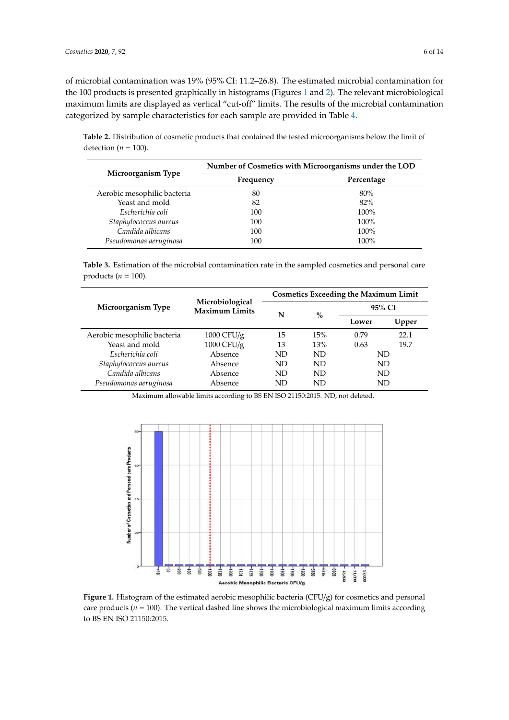products (*n* = 100).

of microbial contamination was 19% (95% CI: 11.2–26.8). The estimated microbial contamination for the 100 products is presented graphically in histograms (Figures 1 and 2). The relevant microbiological maximum limits are displayed as vertical "cut-off" limits. The results of the microbial contamination categorized by sample characteristics for each sample are provided in Table 4. maximum limits are displayed as vertical  $\alpha$  in the results of the microbial contamination  $\alpha$ or incredibility contamination was 1970 (9970 Ci. 11.2–20.0). The estimated inter-

**Table 2.** Distribution of cosmetic products that contained the tested microorganisms below the limit of detection ( $n = 100$ ).

|                             | Number of Cosmetics with Microorganisms under the LOD |            |  |  |  |
|-----------------------------|-------------------------------------------------------|------------|--|--|--|
| Microorganism Type          | Frequency                                             | Percentage |  |  |  |
| Aerobic mesophilic bacteria | 80                                                    | 80%        |  |  |  |
| Yeast and mold              | 82                                                    | 82%        |  |  |  |
| Escherichia coli            | 100                                                   | $100\%$    |  |  |  |
| Staphylococcus aureus       | 100                                                   | 100%       |  |  |  |
| Candida albicans            | 100                                                   | 100%       |  |  |  |
| Pseudomonas aeruginosa      | 100                                                   | $100\%$    |  |  |  |

**Table 3.** Estimation of the microbial contamination rate in the sampled cosmetics and personal care products ( $n = 100$ ).  $\mu = 100$ .

|                             |                                          | <b>Cosmetics Exceeding the Maximum Limit</b> |      |        |       |  |
|-----------------------------|------------------------------------------|----------------------------------------------|------|--------|-------|--|
| Microorganism Type          | Microbiological<br><b>Maximum Limits</b> | N                                            | $\%$ | 95% CI |       |  |
|                             |                                          |                                              |      | Lower  | Upper |  |
| Aerobic mesophilic bacteria | 1000 CFU/g                               | 15                                           | 15%  | 0.79   | 22.1  |  |
| Yeast and mold              | 1000 CFU/g                               | 13                                           | 13%  | 0.63   | 19.7  |  |
| Escherichia coli            | Absence                                  | ND                                           | ND   | ND     |       |  |
| Staphylococcus aureus       | Absence                                  | ND                                           | ND   | ND     |       |  |
| Candida albicans            | Absence                                  | ND                                           | ND   | ND     |       |  |
| Pseudomonas aeruginosa      | Absence                                  | ND                                           | ND   | ND     |       |  |

Maximum allowable limits according to BS EN ISO 21150:2015. ND, not deleted. Maximum allowable limits according to BS EN ISO 21150:2015. ND, not deleted.



**Figure 1.** Histogram of the estimated aerobic mesophilic bacteria (CFU/g) for cosmetics and personal care products ( $n = 100$ ). The vertical dashed line shows the microbiological maximum limits according to BS EN ISO 21150:2015.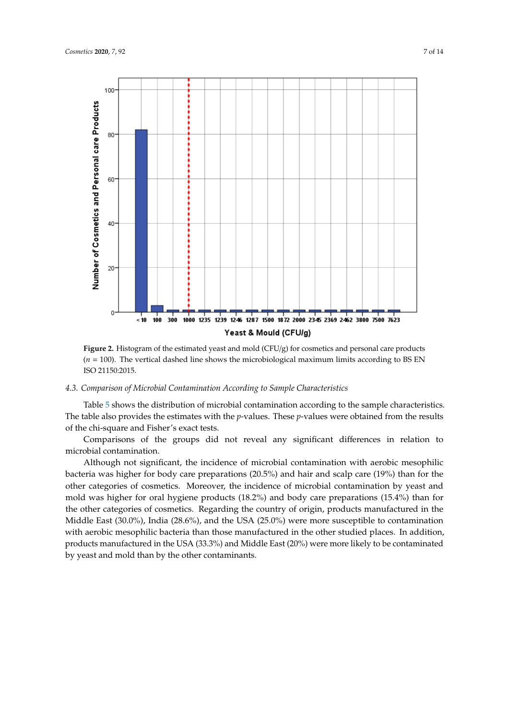

 $(n = 100)$ . The vertical dashed line shows the microbiological maximum limits according to BS EN products (*n* = 100). The vertical dashed line shows the microbiological maximum limits according to ISO 21150:2015. **Figure 2.** Histogram of the estimated yeast and mold (CFU/g) for cosmetics and personal care products

#### *4.3. Comparison of Microbial Contamination According to Sample Characteristics*

Table 5 shows the distribution of microbial contamination according to the sample characteristics. The table also provides the estimates with the *p*-values. These *p*-values were obtained from the results of the chi-square and Fisher's exact tests.

Comparisons of the groups did not reveal any significant differences in relation to microbial contamination.

Although not significant, the incidence of microbial contamination with aerobic mesophilic bacteria was higher for body care preparations (20.5%) and hair and scalp care (19%) than for the other categories of cosmetics. Moreover, the incidence of microbial contamination by yeast and mold was higher for oral hygiene products (18.2%) and body care preparations (15.4%) than for the other categories of cosmetics. Regarding the country of origin, products manufactured in the Middle East (30.0%), India (28.6%), and the USA (25.0%) were more susceptible to contamination with aerobic mesophilic bacteria than those manufactured in the other studied places. In addition, products manufactured in the USA (33.3%) and Middle East (20%) were more likely to be contaminated by yeast and mold than by the other contaminants.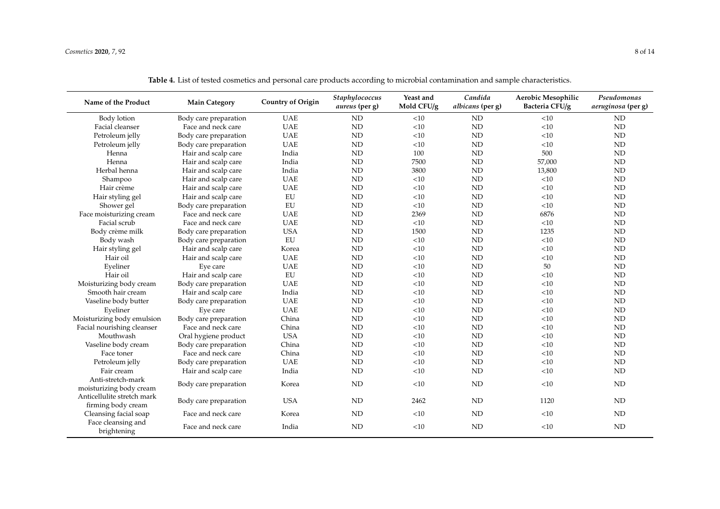| Name of the Product               | <b>Main Category</b>  | <b>Country of Origin</b> | Staphylococcus<br><i>aureus</i> (per g) | Yeast and<br>Mold CFU/g | Candida<br>albicans (per g) | <b>Aerobic Mesophilic</b><br>Bacteria CFU/g | Pseudomonas<br>aeruginosa (per g) |
|-----------------------------------|-----------------------|--------------------------|-----------------------------------------|-------------------------|-----------------------------|---------------------------------------------|-----------------------------------|
| Body lotion                       | Body care preparation | <b>UAE</b>               | $\mbox{\sc ND}$                         | <10                     | ND                          | <10                                         | ND                                |
| Facial cleanser                   | Face and neck care    | <b>UAE</b>               | $\mbox{\sc ND}$                         | $<\!\!10$               | $\rm ND$                    | $<\!\!10$                                   | $\rm ND$                          |
| Petroleum jelly                   | Body care preparation | <b>UAE</b>               | ND                                      | <10                     | ND                          | < 10                                        | ND                                |
| Petroleum jelly                   | Body care preparation | <b>UAE</b>               | ND                                      | <10                     | ND                          | <10                                         | ND                                |
| Henna                             | Hair and scalp care   | India                    | <b>ND</b>                               | 100                     | ND                          | 500                                         | ND                                |
| Henna                             | Hair and scalp care   | India                    | $\mbox{\sc ND}$                         | 7500                    | ND                          | 57,000                                      | ND                                |
| Herbal henna                      | Hair and scalp care   | India                    | $\mbox{\sc ND}$                         | 3800                    | ND                          | 13,800                                      | <b>ND</b>                         |
| Shampoo                           | Hair and scalp care   | <b>UAE</b>               | ND                                      | <10                     | ND                          | <10                                         | ND                                |
| Hair crème                        | Hair and scalp care   | <b>UAE</b>               | ND                                      | <10                     | $\rm ND$                    | $<\!\!10$                                   | ND                                |
| Hair styling gel                  | Hair and scalp care   | ${\rm EU}$               | ND                                      | <10                     | ND                          | <10                                         | ND                                |
| Shower gel                        | Body care preparation | ${\rm EU}$               | ND                                      | <10                     | ND                          | <10                                         | ND                                |
| Face moisturizing cream           | Face and neck care    | <b>UAE</b>               | ND                                      | 2369                    | ND                          | 6876                                        | <b>ND</b>                         |
| Facial scrub                      | Face and neck care    | <b>UAE</b>               | <b>ND</b>                               | $<$ 10                  | ND                          | <10                                         | ND                                |
| Body crème milk                   | Body care preparation | <b>USA</b>               | <b>ND</b>                               | 1500                    | ND                          | 1235                                        | ND                                |
| Body wash                         | Body care preparation | ${\rm EU}$               | $\mbox{ND}$                             | $<\!\!10$               | ND                          | <10                                         | $\mbox{ND}$                       |
| Hair styling gel                  | Hair and scalp care   | Korea                    | ND                                      | <10                     | ND                          | <10                                         | <b>ND</b>                         |
| Hair oil                          | Hair and scalp care   | <b>UAE</b>               | ND                                      | <10                     | ND                          | <10                                         | ND                                |
| Eyeliner                          | Eye care              | <b>UAE</b>               | ND                                      | <10                     | ND                          | 50                                          | ND                                |
| Hair oil                          | Hair and scalp care   | EU                       | ND                                      | <10                     | <b>ND</b>                   | < 10                                        | ND                                |
| Moisturizing body cream           | Body care preparation | <b>UAE</b>               | ND                                      | <10                     | <b>ND</b>                   | < 10                                        | ND                                |
| Smooth hair cream                 | Hair and scalp care   | India                    | ND                                      | <10                     | <b>ND</b>                   | <10                                         | ND                                |
| Vaseline body butter              | Body care preparation | <b>UAE</b>               | ND                                      | <10                     | <b>ND</b>                   | <10                                         | ND                                |
| Eyeliner                          | Eye care              | <b>UAE</b>               | <b>ND</b>                               | <10                     | ND                          | < 10                                        | ND                                |
| Moisturizing body emulsion        | Body care preparation | China                    | $\mbox{\sc ND}$                         | <10                     | <b>ND</b>                   | <10                                         | <b>ND</b>                         |
| Facial nourishing cleanser        | Face and neck care    | China                    | $\mbox{\sc ND}$                         | $<\!\!10$               | ND                          | < 10                                        | <b>ND</b>                         |
| Mouthwash                         | Oral hygiene product  | <b>USA</b>               | ND                                      | <10                     | ND                          | <10                                         | ND                                |
| Vaseline body cream               | Body care preparation | China                    | ND                                      | <10                     | ND                          | < 10                                        | ND                                |
| Face toner                        | Face and neck care    | China                    | ND                                      | <10                     | ND                          | <10                                         | ND                                |
| Petroleum jelly                   | Body care preparation | <b>UAE</b>               | $\rm ND$                                | $<\!\!10$               | ND                          | <10                                         | ND                                |
| Fair cream                        | Hair and scalp care   | India                    | ND                                      | <10                     | ND                          | <10                                         | ND                                |
| Anti-stretch-mark                 | Body care preparation | Korea                    | <b>ND</b>                               | <10                     | ND                          | < 10                                        | ND                                |
| moisturizing body cream           |                       |                          |                                         |                         |                             |                                             |                                   |
| Anticellulite stretch mark        | Body care preparation | <b>USA</b>               | ND                                      | 2462                    | ND                          | 1120                                        | ND                                |
| firming body cream                |                       |                          |                                         |                         |                             |                                             |                                   |
| Cleansing facial soap             | Face and neck care    | Korea                    | ND                                      | <10                     | ND                          | <10                                         | ND                                |
| Face cleansing and<br>brightening | Face and neck care    | India                    | ND                                      | <10                     | ND                          | < 10                                        | ND                                |

**Table 4.** List of tested cosmetics and personal care products according to microbial contamination and sample characteristics.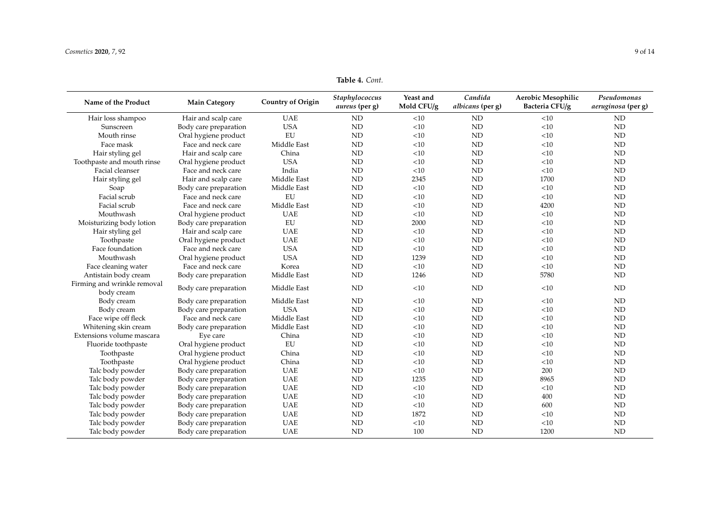## **Table 4.** *Cont.*

| Name of the Product                       | <b>Main Category</b>  | <b>Country of Origin</b> | Staphylococcus<br><i>aureus</i> (per g) | Yeast and<br>Mold CFU/g | Candida<br>albicans (per g) | Aerobic Mesophilic<br>Bacteria CFU/g | Pseudomonas<br>aeruginosa (per g) |
|-------------------------------------------|-----------------------|--------------------------|-----------------------------------------|-------------------------|-----------------------------|--------------------------------------|-----------------------------------|
| Hair loss shampoo                         | Hair and scalp care   | <b>UAE</b>               | ND                                      | <10                     | ND                          | <10                                  | ND                                |
| Sunscreen                                 | Body care preparation | <b>USA</b>               | <b>ND</b>                               | <10                     | ND                          | <10                                  | <b>ND</b>                         |
| Mouth rinse                               | Oral hygiene product  | EU                       | ND                                      | <10                     | ND                          | <10                                  | ND                                |
| Face mask                                 | Face and neck care    | Middle East              | ND                                      | <10                     | ND                          | <10                                  | ND                                |
| Hair styling gel                          | Hair and scalp care   | China                    | ND                                      | <10                     | ND                          | <10                                  | <b>ND</b>                         |
| Toothpaste and mouth rinse                | Oral hygiene product  | <b>USA</b>               | ND                                      | < 10                    | ND                          | <10                                  | <b>ND</b>                         |
| Facial cleanser                           | Face and neck care    | India                    | ND                                      | <10                     | <b>ND</b>                   | <10                                  | <b>ND</b>                         |
| Hair styling gel                          | Hair and scalp care   | Middle East              | <b>ND</b>                               | 2345                    | ND                          | 1700                                 | <b>ND</b>                         |
| Soap                                      | Body care preparation | Middle East              | ND                                      | <10                     | <b>ND</b>                   | <10                                  | <b>ND</b>                         |
| Facial scrub                              | Face and neck care    | EU                       | ND                                      | <10                     | <b>ND</b>                   | <10                                  | <b>ND</b>                         |
| Facial scrub                              | Face and neck care    | Middle East              | ND                                      | <10                     | ND                          | 4200                                 | <b>ND</b>                         |
| Mouthwash                                 | Oral hygiene product  | <b>UAE</b>               | ND                                      | < 10                    | ND                          | <10                                  | <b>ND</b>                         |
| Moisturizing body lotion                  | Body care preparation | EU                       | <b>ND</b>                               | 2000                    | ND                          | <10                                  | <b>ND</b>                         |
| Hair styling gel                          | Hair and scalp care   | <b>UAE</b>               | ND                                      | <10                     | <b>ND</b>                   | <10                                  | <b>ND</b>                         |
| Toothpaste                                | Oral hygiene product  | <b>UAE</b>               | <b>ND</b>                               | <10                     | ND                          | <10                                  | <b>ND</b>                         |
| Face foundation                           | Face and neck care    | <b>USA</b>               | <b>ND</b>                               | <10                     | <b>ND</b>                   | <10                                  | <b>ND</b>                         |
| Mouthwash                                 | Oral hygiene product  | <b>USA</b>               | <b>ND</b>                               | 1239                    | ND                          | $<$ 10                               | <b>ND</b>                         |
| Face cleaning water                       | Face and neck care    | Korea                    | ND                                      | <10                     | ND                          | <10                                  | ND                                |
| Antistain body cream                      | Body care preparation | Middle East              | ND                                      | 1246                    | <b>ND</b>                   | 5780                                 | ND                                |
| Firming and wrinkle removal<br>body cream | Body care preparation | Middle East              | <b>ND</b>                               | <10                     | <b>ND</b>                   | < 10                                 | <b>ND</b>                         |
| Body cream                                | Body care preparation | Middle East              | <b>ND</b>                               | <10                     | ND                          | $<$ 10                               | <b>ND</b>                         |
| Body cream                                | Body care preparation | <b>USA</b>               | <b>ND</b>                               | <10                     | ND                          | <10                                  | <b>ND</b>                         |
| Face wipe off fleck                       | Face and neck care    | Middle East              | ND                                      | <10                     | ND                          | <10                                  | <b>ND</b>                         |
| Whitening skin cream                      | Body care preparation | Middle East              | ND                                      | <10                     | <b>ND</b>                   | <10                                  | <b>ND</b>                         |
| Extensions volume mascara                 | Eye care              | China                    | ND                                      | <10                     | ND                          | <10                                  | <b>ND</b>                         |
| Fluoride toothpaste                       | Oral hygiene product  | EU                       | ND                                      | < 10                    | <b>ND</b>                   | <10                                  | <b>ND</b>                         |
| Toothpaste                                | Oral hygiene product  | China                    | <b>ND</b>                               | <10                     | <b>ND</b>                   | $<$ 10                               | <b>ND</b>                         |
| Toothpaste                                | Oral hygiene product  | China                    | <b>ND</b>                               | <10                     | <b>ND</b>                   | <10                                  | <b>ND</b>                         |
| Talc body powder                          | Body care preparation | <b>UAE</b>               | <b>ND</b>                               | <10                     | <b>ND</b>                   | 200                                  | <b>ND</b>                         |
| Talc body powder                          | Body care preparation | <b>UAE</b>               | <b>ND</b>                               | 1235                    | ND                          | 8965                                 | <b>ND</b>                         |
| Talc body powder                          | Body care preparation | <b>UAE</b>               | ND                                      | <10                     | ND                          | <10                                  | ND                                |
| Talc body powder                          | Body care preparation | <b>UAE</b>               | ND                                      | <10                     | ND                          | 400                                  | ND                                |
| Talc body powder                          | Body care preparation | <b>UAE</b>               | ND                                      | <10                     | ND                          | 600                                  | <b>ND</b>                         |
| Talc body powder                          | Body care preparation | <b>UAE</b>               | <b>ND</b>                               | 1872                    | <b>ND</b>                   | <10                                  | <b>ND</b>                         |
| Talc body powder                          | Body care preparation | <b>UAE</b>               | <b>ND</b>                               | <10                     | ND                          | <10                                  | <b>ND</b>                         |
| Talc body powder                          | Body care preparation | <b>UAE</b>               | <b>ND</b>                               | 100                     | <b>ND</b>                   | 1200                                 | <b>ND</b>                         |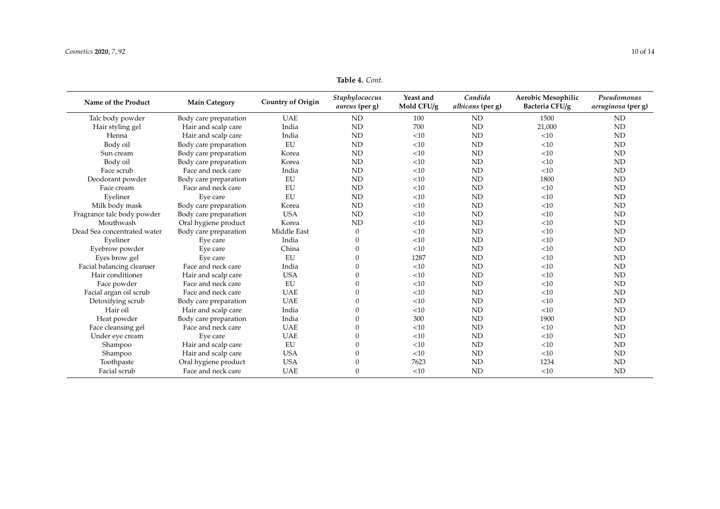| <b>Table 4. Cont.</b> |  |
|-----------------------|--|
|-----------------------|--|

| Name of the Product         | <b>Main Category</b>  | <b>Country of Origin</b> | Staphylococcus<br><i>aureus</i> (per g) | Yeast and<br>Mold CFU/g | Candida<br>albicans (per g) | <b>Aerobic Mesophilic</b><br>Bacteria CFU/g | Pseudomonas<br>aeruginosa (per g) |
|-----------------------------|-----------------------|--------------------------|-----------------------------------------|-------------------------|-----------------------------|---------------------------------------------|-----------------------------------|
| Talc body powder            | Body care preparation | <b>UAE</b>               | <b>ND</b>                               | 100                     | <b>ND</b>                   | 1500                                        | <b>ND</b>                         |
| Hair styling gel            | Hair and scalp care   | India                    | ND                                      | 700                     | <b>ND</b>                   | 21,000                                      | <b>ND</b>                         |
| Henna                       | Hair and scalp care   | India                    | ND                                      | <10                     | ND                          | <10                                         | <b>ND</b>                         |
| Body oil                    | Body care preparation | EU                       | <b>ND</b>                               | <10                     | ND                          | <10                                         | <b>ND</b>                         |
| Sun cream                   | Body care preparation | Korea                    | <b>ND</b>                               | <10                     | ND                          | <10                                         | <b>ND</b>                         |
| Body oil                    | Body care preparation | Korea                    | <b>ND</b>                               | <10                     | ND                          | <10                                         | ND                                |
| Face scrub                  | Face and neck care    | India                    | <b>ND</b>                               | <10                     | ND                          | <10                                         | <b>ND</b>                         |
| Deodorant powder            | Body care preparation | EU                       | <b>ND</b>                               | <10                     | ND                          | 1800                                        | <b>ND</b>                         |
| Face cream                  | Face and neck care    | EU                       | <b>ND</b>                               | <10                     | ND                          | <10                                         | <b>ND</b>                         |
| Eveliner                    | Eye care              | EU                       | ND                                      | <10                     | ND                          | <10                                         | <b>ND</b>                         |
| Milk body mask              | Body care preparation | Korea                    | <b>ND</b>                               | <10                     | ND                          | <10                                         | <b>ND</b>                         |
| Fragrance talc body powder  | Body care preparation | <b>USA</b>               | <b>ND</b>                               | <10                     | ND                          | <10                                         | <b>ND</b>                         |
| Mouthwash                   | Oral hygiene product  | Korea                    | <b>ND</b>                               | <10                     | ND                          | <10                                         | <b>ND</b>                         |
| Dead Sea concentrated water | Body care preparation | Middle East              | $\mathbf{0}$                            | <10                     | ND                          | <10                                         | <b>ND</b>                         |
| Eveliner                    | Eve care              | India                    | 0                                       | <10                     | ND                          | <10                                         | <b>ND</b>                         |
| Eyebrow powder              | Eve care              | China                    | 0                                       | <10                     | <b>ND</b>                   | <10                                         | <b>ND</b>                         |
| Eyes brow gel               | Eye care              | EU                       | 0                                       | 1287                    | <b>ND</b>                   | <10                                         | <b>ND</b>                         |
| Facial balancing cleanser   | Face and neck care    | India                    | 0                                       | <10                     | <b>ND</b>                   | <10                                         | <b>ND</b>                         |
| Hair conditioner            | Hair and scalp care   | <b>USA</b>               | O                                       | <10                     | ND                          | <10                                         | <b>ND</b>                         |
| Face powder                 | Face and neck care    | EU                       |                                         | <10                     | ND                          | <10                                         | <b>ND</b>                         |
| Facial argan oil scrub      | Face and neck care    | <b>UAE</b>               |                                         | <10                     | <b>ND</b>                   | <10                                         | <b>ND</b>                         |
| Detoxifying scrub           | Body care preparation | <b>UAE</b>               |                                         | <10                     | <b>ND</b>                   | <10                                         | <b>ND</b>                         |
| Hair oil                    | Hair and scalp care   | India                    | 0                                       | <10                     | <b>ND</b>                   | <10                                         | <b>ND</b>                         |
| Heat powder                 | Body care preparation | India                    | 0                                       | 300                     | <b>ND</b>                   | 1900                                        | <b>ND</b>                         |
| Face cleansing gel          | Face and neck care    | <b>UAE</b>               | 0                                       | <10                     | <b>ND</b>                   | <10                                         | <b>ND</b>                         |
| Under eye cream             | Eye care              | <b>UAE</b>               | 0                                       | <10                     | ND                          | <10                                         | <b>ND</b>                         |
| Shampoo                     | Hair and scalp care   | EU                       | O                                       | <10                     | ND                          | <10                                         | <b>ND</b>                         |
| Shampoo                     | Hair and scalp care   | <b>USA</b>               | 0                                       | <10                     | <b>ND</b>                   | <10                                         | <b>ND</b>                         |
| Toothpaste                  | Oral hygiene product  | <b>USA</b>               | 0                                       | 7623                    | <b>ND</b>                   | 1234                                        | <b>ND</b>                         |
| Facial scrub                | Face and neck care    | <b>UAE</b>               | 0                                       | <10                     | ND                          | <10                                         | <b>ND</b>                         |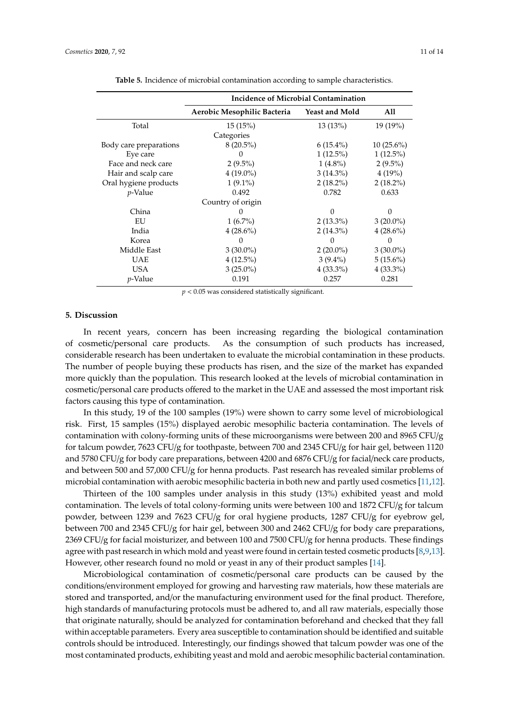|                        | Incidence of Microbial Contamination |                       |              |  |  |  |
|------------------------|--------------------------------------|-----------------------|--------------|--|--|--|
|                        | Aerobic Mesophilic Bacteria          | <b>Yeast and Mold</b> | All          |  |  |  |
| Total                  | 15(15%)                              | 13(13%)               | 19 (19%)     |  |  |  |
|                        | Categories                           |                       |              |  |  |  |
| Body care preparations | $8(20.5\%)$                          | $6(15.4\%)$           | $10(25.6\%)$ |  |  |  |
| Eye care               | $\cup$                               | $1(12.5\%)$           | $1(12.5\%)$  |  |  |  |
| Face and neck care     | $2(9.5\%)$                           | $1(4.8\%)$            | $2(9.5\%)$   |  |  |  |
| Hair and scalp care    | $4(19.0\%)$                          | $3(14.3\%)$           | 4(19%)       |  |  |  |
| Oral hygiene products  | $1(9.1\%)$                           | $2(18.2\%)$           | $2(18.2\%)$  |  |  |  |
| $p$ -Value             | 0.492                                | 0.782                 | 0.633        |  |  |  |
| Country of origin      |                                      |                       |              |  |  |  |
| China                  | $\theta$                             | $\Omega$              | $\Omega$     |  |  |  |
| EU                     | $1(6.7\%)$                           | $2(13.3\%)$           | $3(20.0\%)$  |  |  |  |
| India                  | $4(28.6\%)$                          | $2(14.3\%)$           | $4(28.6\%)$  |  |  |  |
| Korea                  | 0                                    | $\Omega$              | 0            |  |  |  |
| Middle East            | $3(30.0\%)$                          | $2(20.0\%)$           | $3(30.0\%)$  |  |  |  |
| <b>UAE</b>             | $4(12.5\%)$                          | $3(9.4\%)$            | $5(15.6\%)$  |  |  |  |
| USA                    | $3(25.0\%)$                          | $4(33.3\%)$           | $4(33.3\%)$  |  |  |  |
| <i>p</i> -Value        | 0.191                                | 0.257                 | 0.281        |  |  |  |

**Table 5.** Incidence of microbial contamination according to sample characteristics.

*p* < 0.05 was considered statistically significant.

#### **5. Discussion**

In recent years, concern has been increasing regarding the biological contamination of cosmetic/personal care products. As the consumption of such products has increased, considerable research has been undertaken to evaluate the microbial contamination in these products. The number of people buying these products has risen, and the size of the market has expanded more quickly than the population. This research looked at the levels of microbial contamination in cosmetic/personal care products offered to the market in the UAE and assessed the most important risk factors causing this type of contamination.

In this study, 19 of the 100 samples (19%) were shown to carry some level of microbiological risk. First, 15 samples (15%) displayed aerobic mesophilic bacteria contamination. The levels of contamination with colony-forming units of these microorganisms were between 200 and 8965 CFU/g for talcum powder, 7623 CFU/g for toothpaste, between 700 and 2345 CFU/g for hair gel, between 1120 and 5780 CFU/g for body care preparations, between 4200 and 6876 CFU/g for facial/neck care products, and between 500 and 57,000 CFU/g for henna products. Past research has revealed similar problems of microbial contamination with aerobic mesophilic bacteria in both new and partly used cosmetics [11,12].

Thirteen of the 100 samples under analysis in this study (13%) exhibited yeast and mold contamination. The levels of total colony-forming units were between 100 and 1872 CFU/g for talcum powder, between 1239 and 7623 CFU/g for oral hygiene products, 1287 CFU/g for eyebrow gel, between 700 and 2345 CFU/g for hair gel, between 300 and 2462 CFU/g for body care preparations, 2369 CFU/g for facial moisturizer, and between 100 and 7500 CFU/g for henna products. These findings agree with past research in which mold and yeast were found in certain tested cosmetic products [8,9,13]. However, other research found no mold or yeast in any of their product samples [14].

Microbiological contamination of cosmetic/personal care products can be caused by the conditions/environment employed for growing and harvesting raw materials, how these materials are stored and transported, and/or the manufacturing environment used for the final product. Therefore, high standards of manufacturing protocols must be adhered to, and all raw materials, especially those that originate naturally, should be analyzed for contamination beforehand and checked that they fall within acceptable parameters. Every area susceptible to contamination should be identified and suitable controls should be introduced. Interestingly, our findings showed that talcum powder was one of the most contaminated products, exhibiting yeast and mold and aerobic mesophilic bacterial contamination.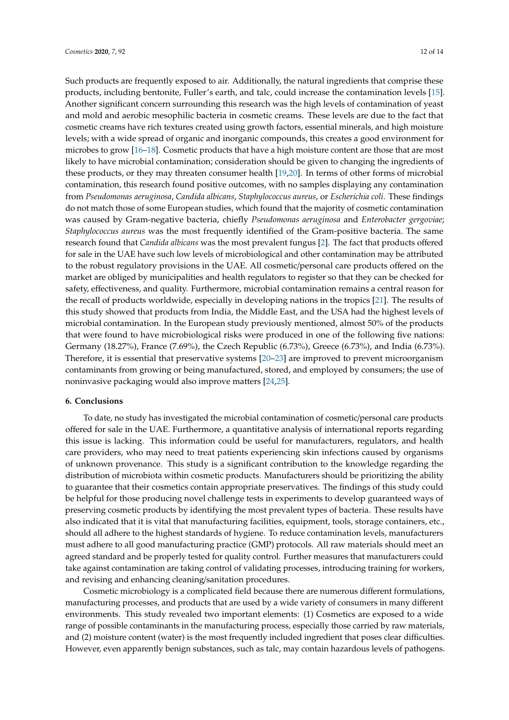Such products are frequently exposed to air. Additionally, the natural ingredients that comprise these products, including bentonite, Fuller's earth, and talc, could increase the contamination levels [15]. Another significant concern surrounding this research was the high levels of contamination of yeast and mold and aerobic mesophilic bacteria in cosmetic creams. These levels are due to the fact that cosmetic creams have rich textures created using growth factors, essential minerals, and high moisture levels; with a wide spread of organic and inorganic compounds, this creates a good environment for microbes to grow [16–18]. Cosmetic products that have a high moisture content are those that are most likely to have microbial contamination; consideration should be given to changing the ingredients of these products, or they may threaten consumer health [19,20]. In terms of other forms of microbial contamination, this research found positive outcomes, with no samples displaying any contamination from *Pseudomonas aeruginosa*, *Candida albicans*, *Staphylococcus aureus*, or *Escherichia coli*. These findings do not match those of some European studies, which found that the majority of cosmetic contamination was caused by Gram-negative bacteria, chiefly *Pseudomonas aeruginosa* and *Enterobacter gergoviae*; *Staphylococcus aureus* was the most frequently identified of the Gram-positive bacteria. The same research found that *Candida albicans* was the most prevalent fungus [2]. The fact that products offered for sale in the UAE have such low levels of microbiological and other contamination may be attributed to the robust regulatory provisions in the UAE. All cosmetic/personal care products offered on the market are obliged by municipalities and health regulators to register so that they can be checked for safety, effectiveness, and quality. Furthermore, microbial contamination remains a central reason for the recall of products worldwide, especially in developing nations in the tropics [21]. The results of this study showed that products from India, the Middle East, and the USA had the highest levels of microbial contamination. In the European study previously mentioned, almost 50% of the products that were found to have microbiological risks were produced in one of the following five nations: Germany (18.27%), France (7.69%), the Czech Republic (6.73%), Greece (6.73%), and India (6.73%). Therefore, it is essential that preservative systems [20–23] are improved to prevent microorganism contaminants from growing or being manufactured, stored, and employed by consumers; the use of noninvasive packaging would also improve matters [24,25].

#### **6. Conclusions**

To date, no study has investigated the microbial contamination of cosmetic/personal care products offered for sale in the UAE. Furthermore, a quantitative analysis of international reports regarding this issue is lacking. This information could be useful for manufacturers, regulators, and health care providers, who may need to treat patients experiencing skin infections caused by organisms of unknown provenance. This study is a significant contribution to the knowledge regarding the distribution of microbiota within cosmetic products. Manufacturers should be prioritizing the ability to guarantee that their cosmetics contain appropriate preservatives. The findings of this study could be helpful for those producing novel challenge tests in experiments to develop guaranteed ways of preserving cosmetic products by identifying the most prevalent types of bacteria. These results have also indicated that it is vital that manufacturing facilities, equipment, tools, storage containers, etc., should all adhere to the highest standards of hygiene. To reduce contamination levels, manufacturers must adhere to all good manufacturing practice (GMP) protocols. All raw materials should meet an agreed standard and be properly tested for quality control. Further measures that manufacturers could take against contamination are taking control of validating processes, introducing training for workers, and revising and enhancing cleaning/sanitation procedures.

Cosmetic microbiology is a complicated field because there are numerous different formulations, manufacturing processes, and products that are used by a wide variety of consumers in many different environments. This study revealed two important elements: (1) Cosmetics are exposed to a wide range of possible contaminants in the manufacturing process, especially those carried by raw materials, and (2) moisture content (water) is the most frequently included ingredient that poses clear difficulties. However, even apparently benign substances, such as talc, may contain hazardous levels of pathogens.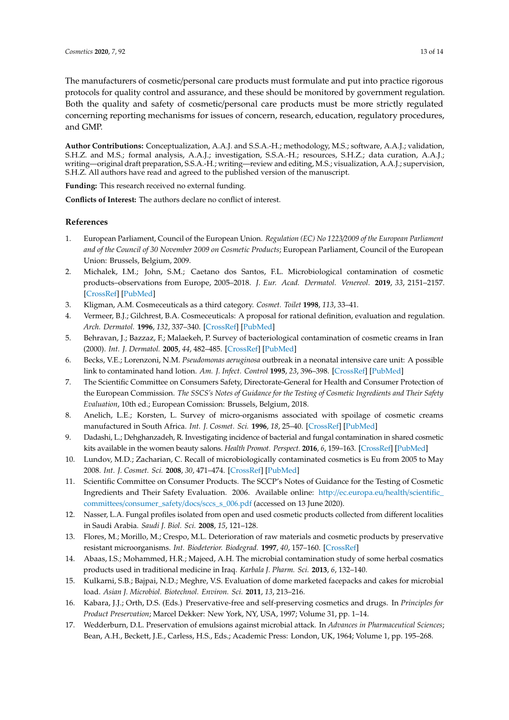The manufacturers of cosmetic/personal care products must formulate and put into practice rigorous protocols for quality control and assurance, and these should be monitored by government regulation. Both the quality and safety of cosmetic/personal care products must be more strictly regulated concerning reporting mechanisms for issues of concern, research, education, regulatory procedures, and GMP.

**Author Contributions:** Conceptualization, A.A.J. and S.S.A.-H.; methodology, M.S.; software, A.A.J.; validation, S.H.Z. and M.S.; formal analysis, A.A.J.; investigation, S.S.A.-H.; resources, S.H.Z.; data curation, A.A.J.; writing—original draft preparation, S.S.A.-H.; writing—review and editing, M.S.; visualization, A.A.J.; supervision, S.H.Z. All authors have read and agreed to the published version of the manuscript.

**Funding:** This research received no external funding.

**Conflicts of Interest:** The authors declare no conflict of interest.

## **References**

- 1. European Parliament, Council of the European Union. *Regulation (EC) No 1223*/*2009 of the European Parliament and of the Council of 30 November 2009 on Cosmetic Products*; European Parliament, Council of the European Union: Brussels, Belgium, 2009.
- 2. Michalek, I.M.; John, S.M.; Caetano dos Santos, F.L. Microbiological contamination of cosmetic products–observations from Europe, 2005–2018. *J. Eur. Acad. Dermatol. Venereol.* **2019**, *33*, 2151–2157. [CrossRef] [PubMed]
- 3. Kligman, A.M. Cosmeceuticals as a third category. *Cosmet. Toilet* **1998**, *113*, 33–41.
- 4. Vermeer, B.J.; Gilchrest, B.A. Cosmeceuticals: A proposal for rational definition, evaluation and regulation. *Arch. Dermatol.* **1996**, *132*, 337–340. [CrossRef] [PubMed]
- 5. Behravan, J.; Bazzaz, F.; Malaekeh, P. Survey of bacteriological contamination of cosmetic creams in Iran (2000). *Int. J. Dermatol.* **2005**, *44*, 482–485. [CrossRef] [PubMed]
- 6. Becks, V.E.; Lorenzoni, N.M. *Pseudomonas aeruginosa* outbreak in a neonatal intensive care unit: A possible link to contaminated hand lotion. *Am. J. Infect. Control* **1995**, *23*, 396–398. [CrossRef] [PubMed]
- 7. The Scientific Committee on Consumers Safety, Directorate-General for Health and Consumer Protection of the European Commission. *The SSCS's Notes of Guidance for the Testing of Cosmetic Ingredients and Their Safety Evaluation*, 10th ed.; European Comission: Brussels, Belgium, 2018.
- 8. Anelich, L.E.; Korsten, L. Survey of micro-organisms associated with spoilage of cosmetic creams manufactured in South Africa. *Int. J. Cosmet. Sci.* **1996**, *18*, 25–40. [CrossRef] [PubMed]
- 9. Dadashi, L.; Dehghanzadeh, R. Investigating incidence of bacterial and fungal contamination in shared cosmetic kits available in the women beauty salons. *Health Promot. Perspect.* **2016**, *6*, 159–163. [CrossRef] [PubMed]
- 10. Lundov, M.D.; Zacharian, C. Recall of microbiologically contaminated cosmetics is Eu from 2005 to May 2008. *Int. J. Cosmet. Sci.* **2008**, *30*, 471–474. [CrossRef] [PubMed]
- 11. Scientific Committee on Consumer Products. The SCCP's Notes of Guidance for the Testing of Cosmetic Ingredients and Their Safety Evaluation. 2006. Available online: http://ec.europa.eu/health/scientific\_ committees/consumer\_safety/docs/sccs\_s\_006.pdf (accessed on 13 June 2020).
- 12. Nasser, L.A. Fungal profiles isolated from open and used cosmetic products collected from different localities in Saudi Arabia. *Saudi J. Biol. Sci.* **2008**, *15*, 121–128.
- 13. Flores, M.; Morillo, M.; Crespo, M.L. Deterioration of raw materials and cosmetic products by preservative resistant microorganisms. *Int. Biodeterior. Biodegrad.* **1997**, *40*, 157–160. [CrossRef]
- 14. Abaas, I.S.; Mohammed, H.R.; Majeed, A.H. The microbial contamination study of some herbal cosmatics products used in traditional medicine in Iraq. *Karbala J. Pharm. Sci.* **2013**, *6*, 132–140.
- 15. Kulkarni, S.B.; Bajpai, N.D.; Meghre, V.S. Evaluation of dome marketed facepacks and cakes for microbial load. *Asian J. Microbiol. Biotechnol. Environ. Sci.* **2011**, *13*, 213–216.
- 16. Kabara, J.J.; Orth, D.S. (Eds.) Preservative-free and self-preserving cosmetics and drugs. In *Principles for Product Preservation*; Marcel Dekker: New York, NY, USA, 1997; Volume 31, pp. 1–14.
- 17. Wedderburn, D.L. Preservation of emulsions against microbial attack. In *Advances in Pharmaceutical Sciences*; Bean, A.H., Beckett, J.E., Carless, H.S., Eds.; Academic Press: London, UK, 1964; Volume 1, pp. 195–268.